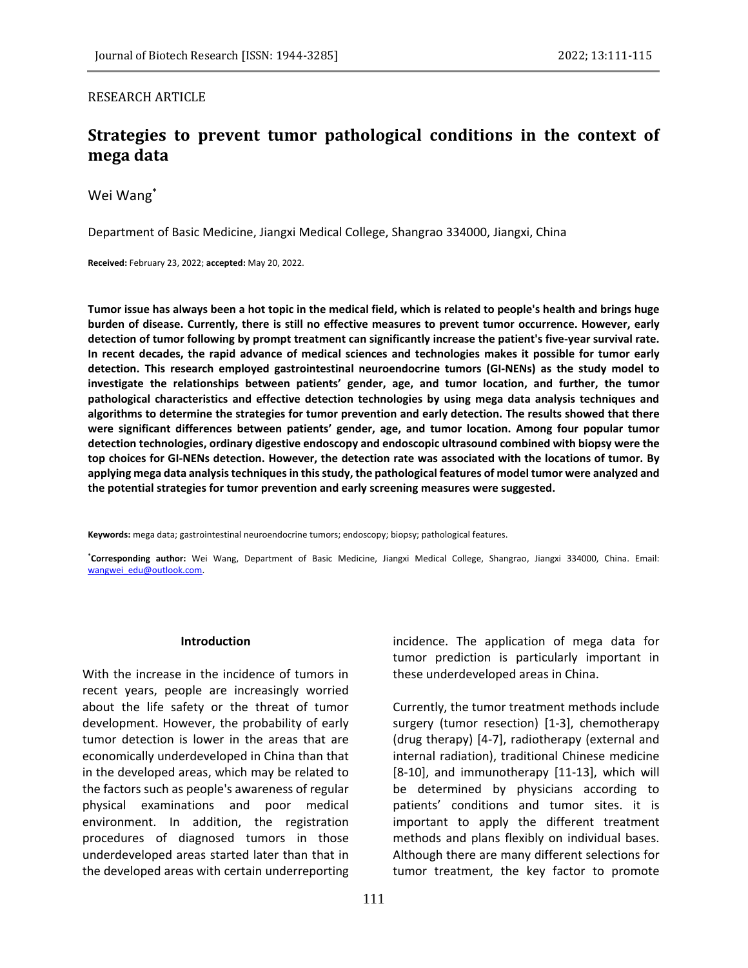### RESEARCH ARTICLE

# **Strategies to prevent tumor pathological conditions in the context of mega data**

Wei Wang\*

Department of Basic Medicine, Jiangxi Medical College, Shangrao 334000, Jiangxi, China

**Received:** February 23, 2022; **accepted:** May 20, 2022.

**Tumor issue has always been a hot topic in the medical field, which is related to people's health and brings huge burden of disease. Currently, there is still no effective measures to prevent tumor occurrence. However, early detection of tumor following by prompt treatment can significantly increase the patient's five-year survival rate. In recent decades, the rapid advance of medical sciences and technologies makes it possible for tumor early detection. This research employed gastrointestinal neuroendocrine tumors (GI-NENs) as the study model to investigate the relationships between patients' gender, age, and tumor location, and further, the tumor pathological characteristics and effective detection technologies by using mega data analysis techniques and algorithms to determine the strategies for tumor prevention and early detection. The results showed that there were significant differences between patients' gender, age, and tumor location. Among four popular tumor detection technologies, ordinary digestive endoscopy and endoscopic ultrasound combined with biopsy were the top choices for GI-NENs detection. However, the detection rate was associated with the locations of tumor. By applying mega data analysis techniques in this study, the pathological features of model tumor were analyzed and the potential strategies for tumor prevention and early screening measures were suggested.**

**Keywords:** mega data; gastrointestinal neuroendocrine tumors; endoscopy; biopsy; pathological features.

**\*Corresponding author:** Wei Wang, Department of Basic Medicine, Jiangxi Medical College, Shangrao, Jiangxi 334000, China. Email: wangwei\_edu@outlook.com.

#### **Introduction**

With the increase in the incidence of tumors in recent years, people are increasingly worried about the life safety or the threat of tumor development. However, the probability of early tumor detection is lower in the areas that are economically underdeveloped in China than that in the developed areas, which may be related to the factors such as people's awareness of regular physical examinations and poor medical environment. In addition, the registration procedures of diagnosed tumors in those underdeveloped areas started later than that in the developed areas with certain underreporting

incidence. The application of mega data for tumor prediction is particularly important in these underdeveloped areas in China.

Currently, the tumor treatment methods include surgery (tumor resection) [1-3], chemotherapy (drug therapy) [4-7], radiotherapy (external and internal radiation), traditional Chinese medicine [8-10], and immunotherapy [11-13], which will be determined by physicians according to patients' conditions and tumor sites. it is important to apply the different treatment methods and plans flexibly on individual bases. Although there are many different selections for tumor treatment, the key factor to promote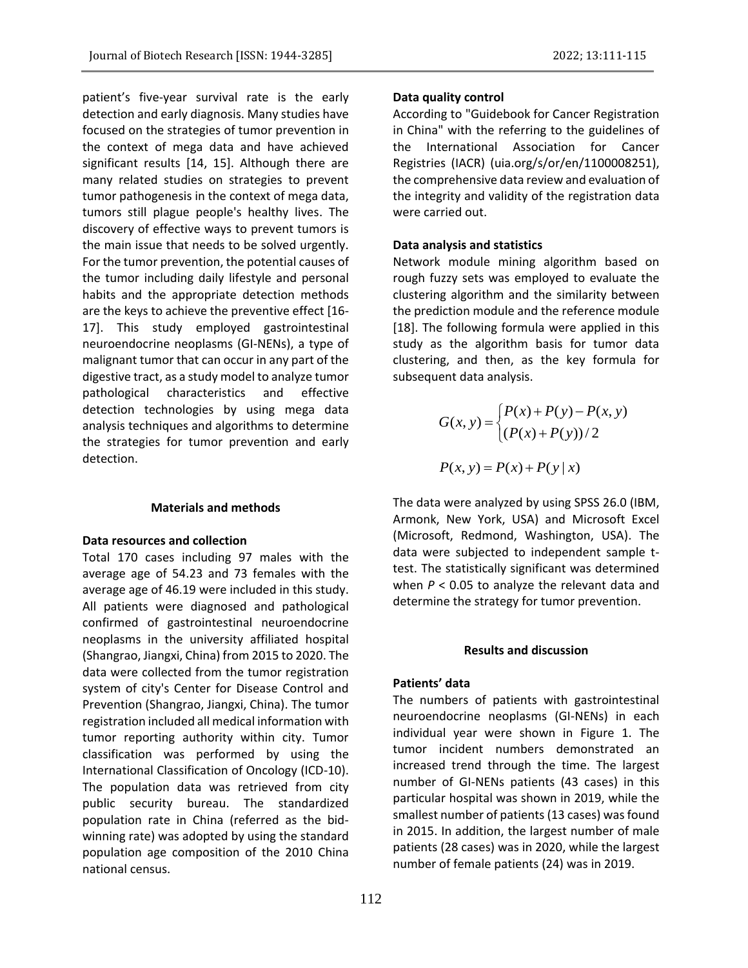patient's five-year survival rate is the early detection and early diagnosis. Many studies have focused on the strategies of tumor prevention in the context of mega data and have achieved significant results [14, 15]. Although there are many related studies on strategies to prevent tumor pathogenesis in the context of mega data, tumors still plague people's healthy lives. The discovery of effective ways to prevent tumors is the main issue that needs to be solved urgently. For the tumor prevention, the potential causes of the tumor including daily lifestyle and personal habits and the appropriate detection methods are the keys to achieve the preventive effect [16- 17]. This study employed gastrointestinal neuroendocrine neoplasms (GI-NENs), a type of malignant tumor that can occur in any part of the digestive tract, as a study model to analyze tumor pathological characteristics and effective detection technologies by using mega data analysis techniques and algorithms to determine the strategies for tumor prevention and early detection.

#### **Materials and methods**

#### **Data resources and collection**

Total 170 cases including 97 males with the average age of 54.23 and 73 females with the average age of 46.19 were included in this study. All patients were diagnosed and pathological confirmed of gastrointestinal neuroendocrine neoplasms in the university affiliated hospital (Shangrao, Jiangxi, China) from 2015 to 2020. The data were collected from the tumor registration system of city's Center for Disease Control and Prevention (Shangrao, Jiangxi, China). The tumor registration included all medical information with tumor reporting authority within city. Tumor classification was performed by using the International Classification of Oncology (ICD-10). The population data was retrieved from city public security bureau. The standardized population rate in China (referred as the bidwinning rate) was adopted by using the standard population age composition of the 2010 China national census.

#### **Data quality control**

According to "Guidebook for Cancer Registration in China" with the referring to the guidelines of the International Association for Cancer Registries (IACR) (uia.org/s/or/en/1100008251), the comprehensive data review and evaluation of the integrity and validity of the registration data were carried out.

#### **Data analysis and statistics**

Network module mining algorithm based on rough fuzzy sets was employed to evaluate the clustering algorithm and the similarity between the prediction module and the reference module [18]. The following formula were applied in this study as the algorithm basis for tumor data clustering, and then, as the key formula for subsequent data analysis.

$$
G(x, y) = \begin{cases} P(x) + P(y) - P(x, y) \\ (P(x) + P(y))/2 \end{cases}
$$
  

$$
P(x, y) = P(x) + P(y | x)
$$

The data were analyzed by using SPSS 26.0 (IBM, Armonk, New York, USA) and Microsoft Excel (Microsoft, Redmond, Washington, USA). The data were subjected to independent sample ttest. The statistically significant was determined when *P* < 0.05 to analyze the relevant data and determine the strategy for tumor prevention.

#### **Results and discussion**

### **Patients' data**

The numbers of patients with gastrointestinal neuroendocrine neoplasms (GI-NENs) in each individual year were shown in Figure 1. The tumor incident numbers demonstrated an increased trend through the time. The largest number of GI-NENs patients (43 cases) in this particular hospital was shown in 2019, while the smallest number of patients(13 cases) was found in 2015. In addition, the largest number of male patients (28 cases) was in 2020, while the largest number of female patients (24) was in 2019.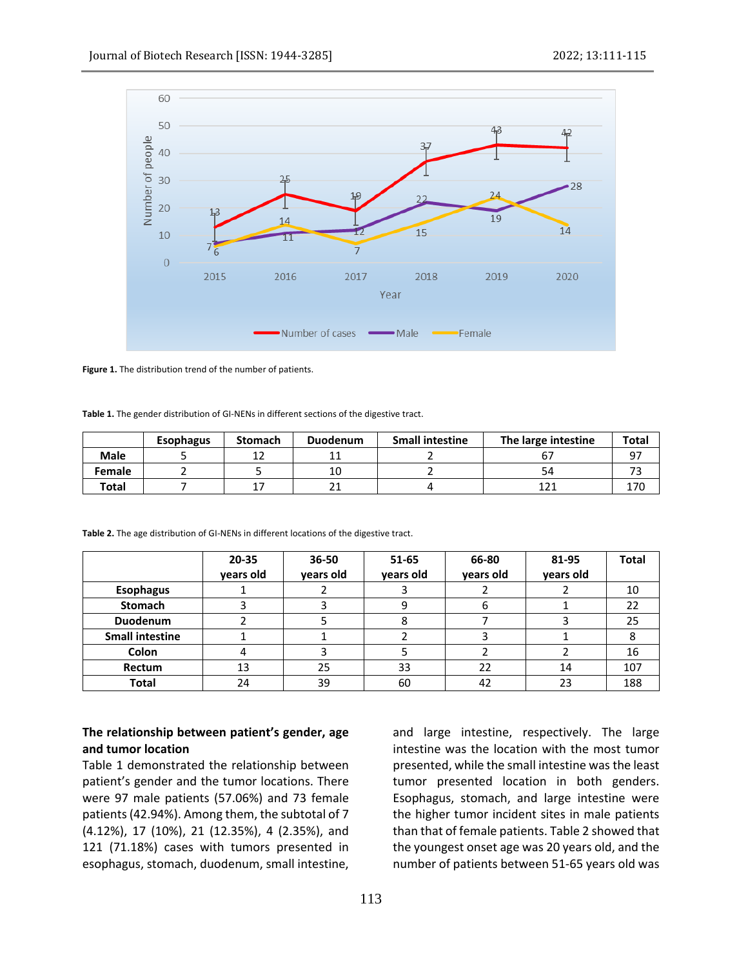

**Figure 1.** The distribution trend of the number of patients.

**Table 1.** The gender distribution of GI-NENs in different sections of the digestive tract.

|               | <b>Esophagus</b> | <b>Stomach</b> | <b>Duodenum</b> | <b>Small intestine</b> | The large intestine | Total |
|---------------|------------------|----------------|-----------------|------------------------|---------------------|-------|
| <b>Male</b>   |                  |                | ᆠ               |                        |                     | ۵7    |
| <b>Female</b> |                  |                | 10              |                        | 54                  |       |
| Total         |                  |                |                 |                        | 1 7 1<br>┸᠘┸        | 170   |

**Table 2.** The age distribution of GI-NENs in different locations of the digestive tract.

|                        | 20-35<br>years old | $36 - 50$<br>years old | $51 - 65$<br>years old | 66-80<br>years old | 81-95<br>years old | <b>Total</b> |
|------------------------|--------------------|------------------------|------------------------|--------------------|--------------------|--------------|
| <b>Esophagus</b>       |                    |                        |                        |                    |                    | 10           |
| <b>Stomach</b>         |                    |                        |                        |                    |                    | 22           |
| Duodenum               |                    |                        |                        |                    |                    | 25           |
| <b>Small intestine</b> |                    |                        |                        |                    |                    |              |
| Colon                  |                    |                        |                        |                    |                    | 16           |
| Rectum                 | 13                 | 25                     | 33                     | 22                 | 14                 | 107          |
| <b>Total</b>           | 24                 | 39                     | 60                     | 42                 | 23                 | 188          |

# **The relationship between patient's gender, age and tumor location**

Table 1 demonstrated the relationship between patient's gender and the tumor locations. There were 97 male patients (57.06%) and 73 female patients (42.94%). Among them, the subtotal of 7 (4.12%), 17 (10%), 21 (12.35%), 4 (2.35%), and 121 (71.18%) cases with tumors presented in esophagus, stomach, duodenum, small intestine,

and large intestine, respectively. The large intestine was the location with the most tumor presented, while the small intestine was the least tumor presented location in both genders. Esophagus, stomach, and large intestine were the higher tumor incident sites in male patients than that of female patients. Table 2 showed that the youngest onset age was 20 years old, and the number of patients between 51-65 years old was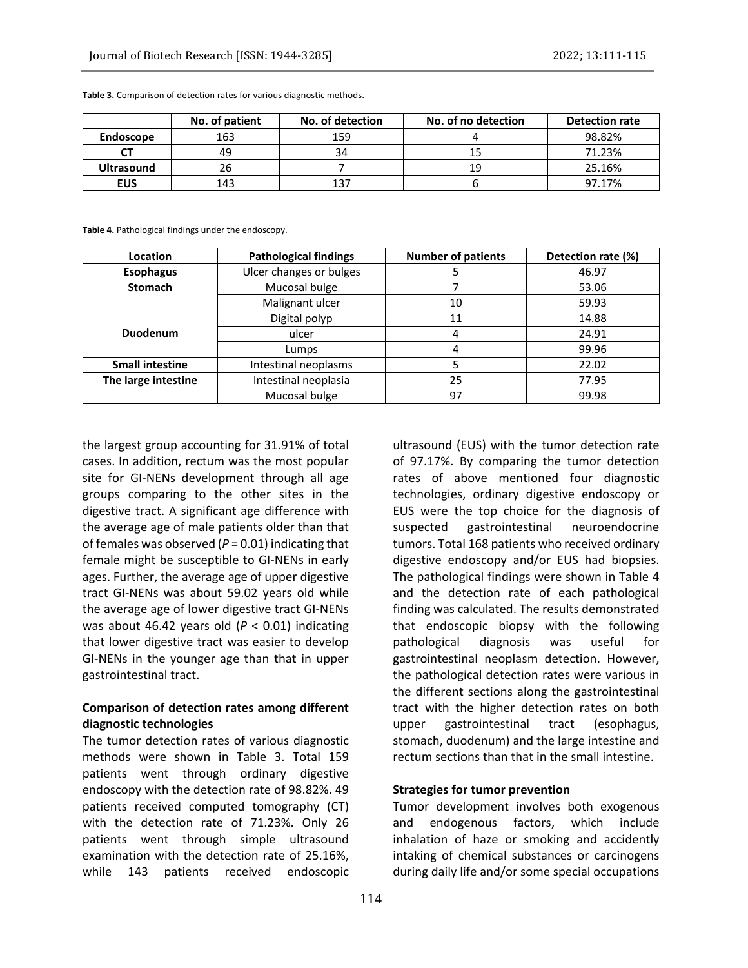|                   | No. of patient | No. of detection | No. of no detection | <b>Detection rate</b> |
|-------------------|----------------|------------------|---------------------|-----------------------|
| Endoscope         | 163            | 159              |                     | 98.82%                |
| rт                | 49             | 34               |                     | 71.23%                |
| <b>Ultrasound</b> | 26             |                  | 1 Q                 | 25.16%                |
| <b>EUS</b>        | 143            | 137              |                     | 97.17%                |

**Table 3.** Comparison of detection rates for various diagnostic methods.

**Table 4.** Pathological findings under the endoscopy.

| Location               | <b>Pathological findings</b> | <b>Number of patients</b> | Detection rate (%) |  |
|------------------------|------------------------------|---------------------------|--------------------|--|
| <b>Esophagus</b>       | Ulcer changes or bulges      |                           | 46.97              |  |
| <b>Stomach</b>         | Mucosal bulge                |                           | 53.06              |  |
|                        | Malignant ulcer              | 10                        | 59.93              |  |
|                        | Digital polyp                | 11                        | 14.88              |  |
| Duodenum               | ulcer                        | 4                         | 24.91              |  |
|                        | Lumps                        | 4                         | 99.96              |  |
| <b>Small intestine</b> | Intestinal neoplasms         |                           | 22.02              |  |
| The large intestine    | Intestinal neoplasia         | 25                        | 77.95              |  |
|                        | Mucosal bulge                | 97                        | 99.98              |  |

the largest group accounting for 31.91% of total cases. In addition, rectum was the most popular site for GI-NENs development through all age groups comparing to the other sites in the digestive tract. A significant age difference with the average age of male patients older than that of females was observed ( $P = 0.01$ ) indicating that female might be susceptible to GI-NENs in early ages. Further, the average age of upper digestive tract GI-NENs was about 59.02 years old while the average age of lower digestive tract GI-NENs was about 46.42 years old (*P* < 0.01) indicating that lower digestive tract was easier to develop GI-NENs in the younger age than that in upper gastrointestinal tract.

## **Comparison of detection rates among different diagnostic technologies**

The tumor detection rates of various diagnostic methods were shown in Table 3. Total 159 patients went through ordinary digestive endoscopy with the detection rate of 98.82%. 49 patients received computed tomography (CT) with the detection rate of 71.23%. Only 26 patients went through simple ultrasound examination with the detection rate of 25.16%, while 143 patients received endoscopic

ultrasound (EUS) with the tumor detection rate of 97.17%. By comparing the tumor detection rates of above mentioned four diagnostic technologies, ordinary digestive endoscopy or EUS were the top choice for the diagnosis of suspected gastrointestinal neuroendocrine tumors. Total 168 patients who received ordinary digestive endoscopy and/or EUS had biopsies. The pathological findings were shown in Table 4 and the detection rate of each pathological finding was calculated. The results demonstrated that endoscopic biopsy with the following pathological diagnosis was useful for gastrointestinal neoplasm detection. However, the pathological detection rates were various in the different sections along the gastrointestinal tract with the higher detection rates on both upper gastrointestinal tract (esophagus, stomach, duodenum) and the large intestine and rectum sections than that in the small intestine.

#### **Strategies for tumor prevention**

Tumor development involves both exogenous and endogenous factors, which include inhalation of haze or smoking and accidently intaking of chemical substances or carcinogens during daily life and/or some special occupations